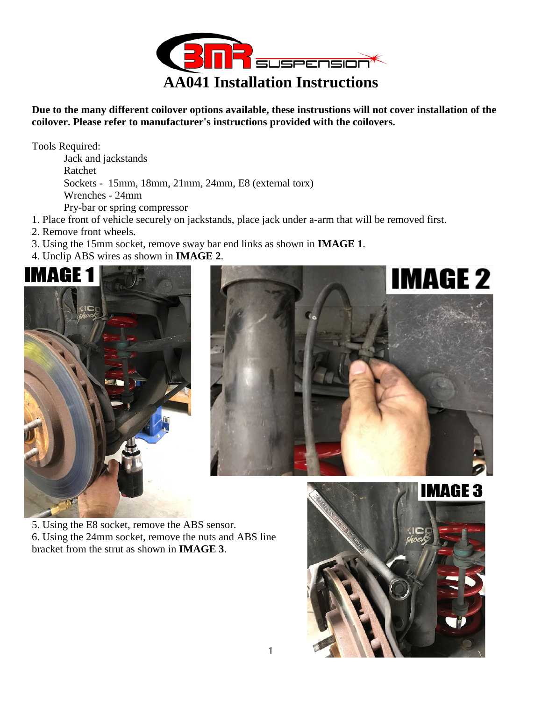

**Due to the many different coilover options available, these instrustions will not cover installation of the coilover. Please refer to manufacturer's instructions provided with the coilovers.** 

Tools Required:

Jack and jackstands Ratchet Sockets - 15mm, 18mm, 21mm, 24mm, E8 (external torx) Wrenches - 24mm Pry-bar or spring compressor

- 1. Place front of vehicle securely on jackstands, place jack under a-arm that will be removed first.
- 2. Remove front wheels.
- 3. Using the 15mm socket, remove sway bar end links as shown in **IMAGE 1**.
- 4. Unclip ABS wires as shown in **IMAGE 2**.





5. Using the E8 socket, remove the ABS sensor. 6. Using the 24mm socket, remove the nuts and ABS line bracket from the strut as shown in **IMAGE 3**.

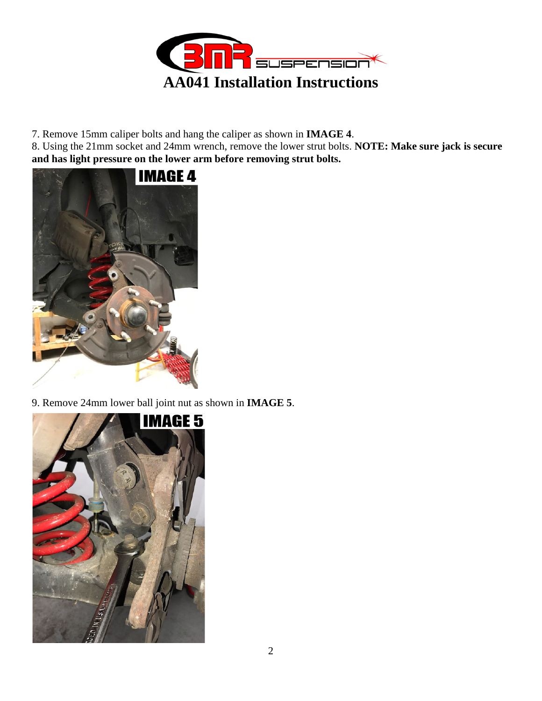

7. Remove 15mm caliper bolts and hang the caliper as shown in **IMAGE 4**.

8. Using the 21mm socket and 24mm wrench, remove the lower strut bolts. **NOTE: Make sure jack is secure and has light pressure on the lower arm before removing strut bolts.** 



9. Remove 24mm lower ball joint nut as shown in **IMAGE 5**.